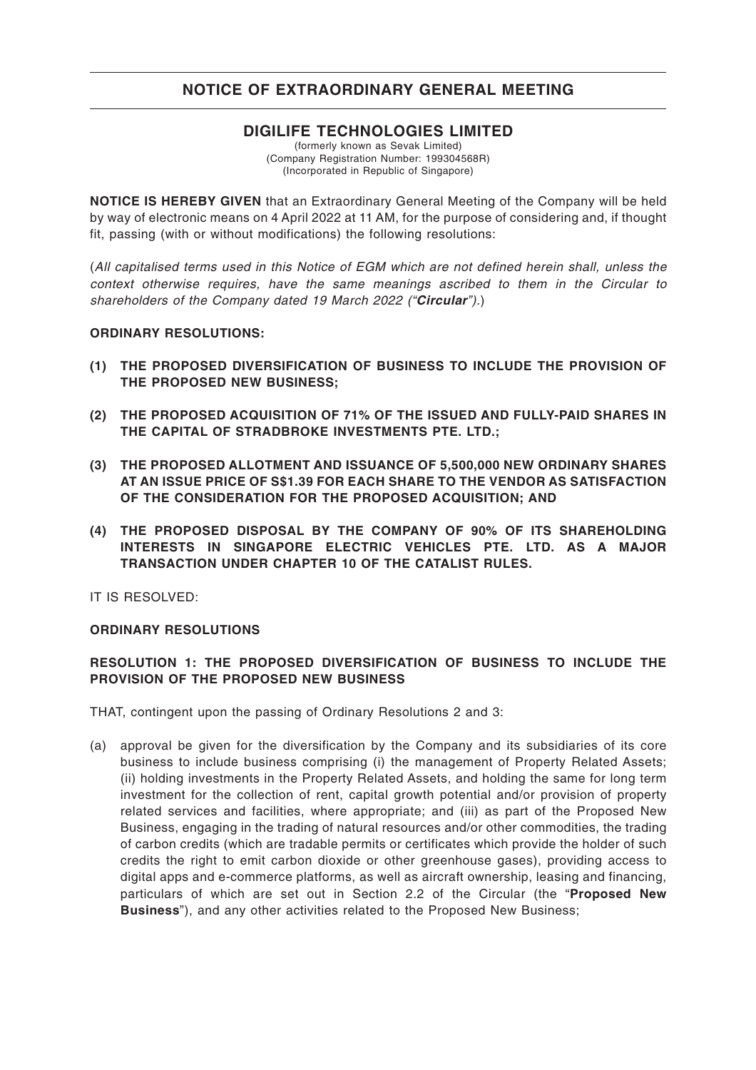### **DIGILIFE TECHNOLOGIES LIMITED**

(formerly known as Sevak Limited) (Company Registration Number: 199304568R) (Incorporated in Republic of Singapore)

**NOTICE IS HEREBY GIVEN** that an Extraordinary General Meeting of the Company will be held by way of electronic means on 4 April 2022 at 11 AM, for the purpose of considering and, if thought fit, passing (with or without modifications) the following resolutions:

(*All capitalised terms used in this Notice of EGM which are not defined herein shall, unless the context otherwise requires, have the same meanings ascribed to them in the Circular to shareholders of the Company dated 19 March 2022 ("Circular").*)

#### **ORDINARY RESOLUTIONS:**

- **(1) THE PROPOSED DIVERSIFICATION OF BUSINESS TO INCLUDE THE PROVISION OF THE PROPOSED NEW BUSINESS;**
- **(2) THE PROPOSED ACQUISITION OF 71% OF THE ISSUED AND FULLY-PAID SHARES IN THE CAPITAL OF STRADBROKE INVESTMENTS PTE. LTD.;**
- **(3) THE PROPOSED ALLOTMENT AND ISSUANCE OF 5,500,000 NEW ORDINARY SHARES AT AN ISSUE PRICE OF S\$1.39 FOR EACH SHARE TO THE VENDOR AS SATISFACTION OF THE CONSIDERATION FOR THE PROPOSED ACQUISITION; AND**
- **(4) THE PROPOSED DISPOSAL BY THE COMPANY OF 90% OF ITS SHAREHOLDING INTERESTS IN SINGAPORE ELECTRIC VEHICLES PTE. LTD. AS A MAJOR TRANSACTION UNDER CHAPTER 10 OF THE CATALIST RULES.**

IT IS RESOLVED:

#### **ORDINARY RESOLUTIONS**

#### **RESOLUTION 1: THE PROPOSED DIVERSIFICATION OF BUSINESS TO INCLUDE THE PROVISION OF THE PROPOSED NEW BUSINESS**

THAT, contingent upon the passing of Ordinary Resolutions 2 and 3:

(a) approval be given for the diversification by the Company and its subsidiaries of its core business to include business comprising (i) the management of Property Related Assets; (ii) holding investments in the Property Related Assets, and holding the same for long term investment for the collection of rent, capital growth potential and/or provision of property related services and facilities, where appropriate; and (iii) as part of the Proposed New Business, engaging in the trading of natural resources and/or other commodities, the trading of carbon credits (which are tradable permits or certificates which provide the holder of such credits the right to emit carbon dioxide or other greenhouse gases), providing access to digital apps and e-commerce platforms, as well as aircraft ownership, leasing and financing, particulars of which are set out in Section 2.2 of the Circular (the "**Proposed New Business**"), and any other activities related to the Proposed New Business;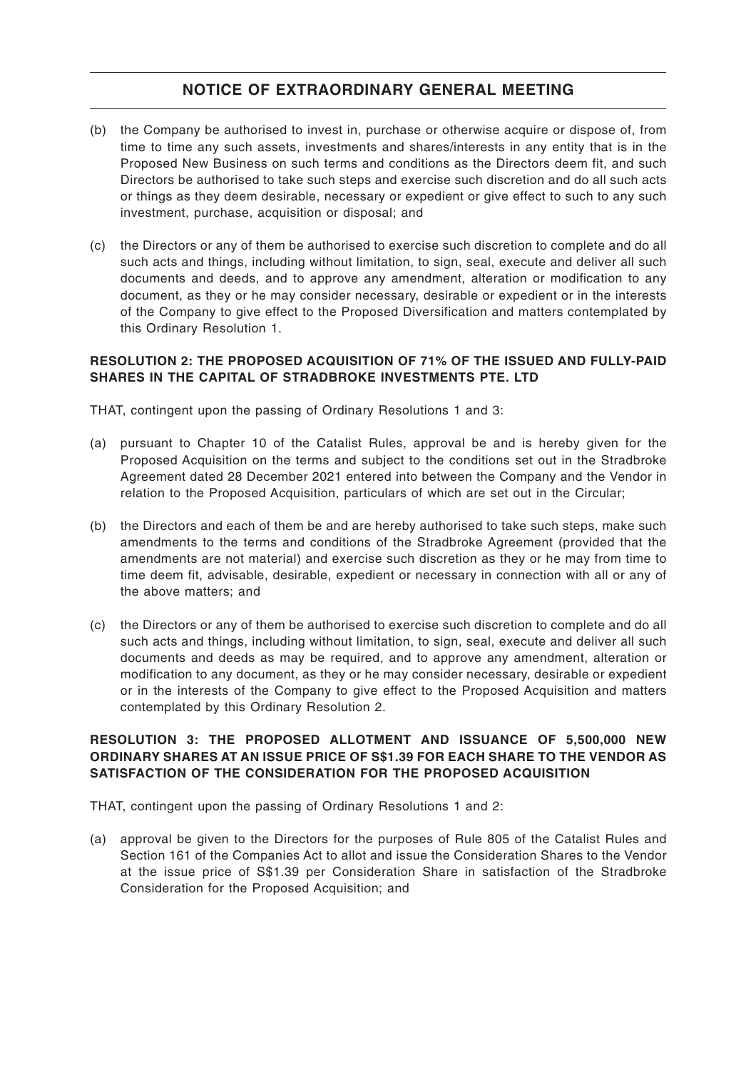- (b) the Company be authorised to invest in, purchase or otherwise acquire or dispose of, from time to time any such assets, investments and shares/interests in any entity that is in the Proposed New Business on such terms and conditions as the Directors deem fit, and such Directors be authorised to take such steps and exercise such discretion and do all such acts or things as they deem desirable, necessary or expedient or give effect to such to any such investment, purchase, acquisition or disposal; and
- (c) the Directors or any of them be authorised to exercise such discretion to complete and do all such acts and things, including without limitation, to sign, seal, execute and deliver all such documents and deeds, and to approve any amendment, alteration or modification to any document, as they or he may consider necessary, desirable or expedient or in the interests of the Company to give effect to the Proposed Diversification and matters contemplated by this Ordinary Resolution 1.

#### **RESOLUTION 2: THE PROPOSED ACQUISITION OF 71% OF THE ISSUED AND FULLY-PAID SHARES IN THE CAPITAL OF STRADBROKE INVESTMENTS PTE. LTD**

THAT, contingent upon the passing of Ordinary Resolutions 1 and 3:

- (a) pursuant to Chapter 10 of the Catalist Rules, approval be and is hereby given for the Proposed Acquisition on the terms and subject to the conditions set out in the Stradbroke Agreement dated 28 December 2021 entered into between the Company and the Vendor in relation to the Proposed Acquisition, particulars of which are set out in the Circular;
- (b) the Directors and each of them be and are hereby authorised to take such steps, make such amendments to the terms and conditions of the Stradbroke Agreement (provided that the amendments are not material) and exercise such discretion as they or he may from time to time deem fit, advisable, desirable, expedient or necessary in connection with all or any of the above matters; and
- (c) the Directors or any of them be authorised to exercise such discretion to complete and do all such acts and things, including without limitation, to sign, seal, execute and deliver all such documents and deeds as may be required, and to approve any amendment, alteration or modification to any document, as they or he may consider necessary, desirable or expedient or in the interests of the Company to give effect to the Proposed Acquisition and matters contemplated by this Ordinary Resolution 2.

### **RESOLUTION 3: THE PROPOSED ALLOTMENT AND ISSUANCE OF 5,500,000 NEW ORDINARY SHARES AT AN ISSUE PRICE OF S\$1.39 FOR EACH SHARE TO THE VENDOR AS SATISFACTION OF THE CONSIDERATION FOR THE PROPOSED ACQUISITION**

THAT, contingent upon the passing of Ordinary Resolutions 1 and 2:

(a) approval be given to the Directors for the purposes of Rule 805 of the Catalist Rules and Section 161 of the Companies Act to allot and issue the Consideration Shares to the Vendor at the issue price of S\$1.39 per Consideration Share in satisfaction of the Stradbroke Consideration for the Proposed Acquisition; and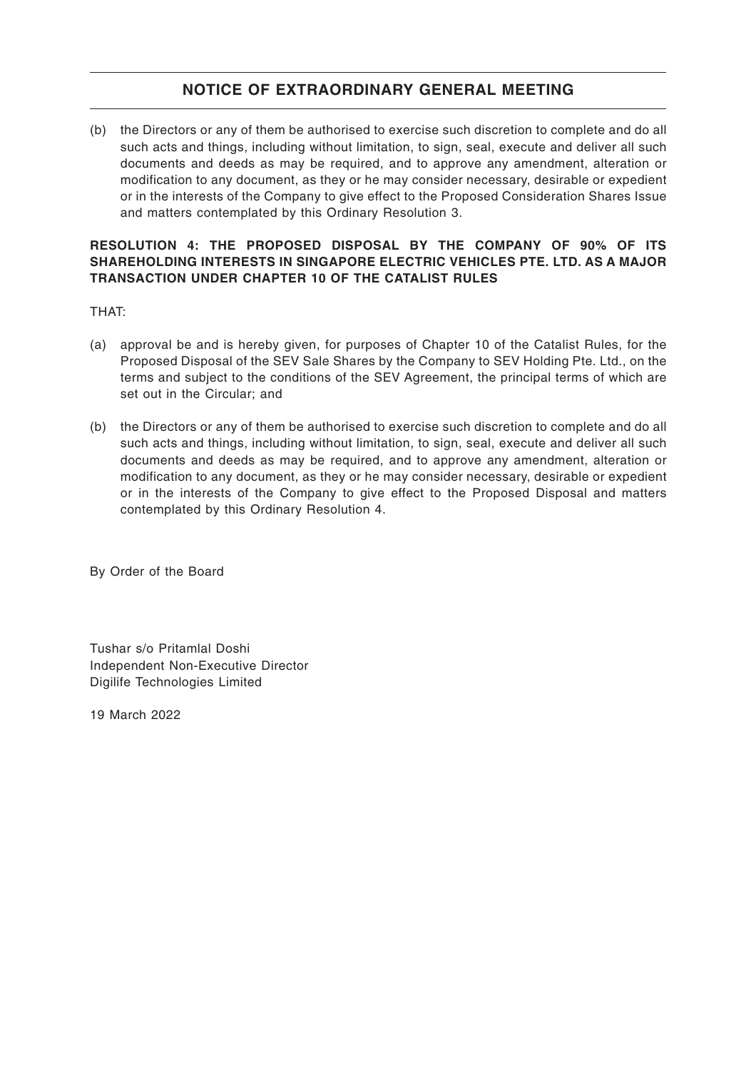(b) the Directors or any of them be authorised to exercise such discretion to complete and do all such acts and things, including without limitation, to sign, seal, execute and deliver all such documents and deeds as may be required, and to approve any amendment, alteration or modification to any document, as they or he may consider necessary, desirable or expedient or in the interests of the Company to give effect to the Proposed Consideration Shares Issue and matters contemplated by this Ordinary Resolution 3.

#### **RESOLUTION 4: THE PROPOSED DISPOSAL BY THE COMPANY OF 90% OF ITS SHAREHOLDING INTERESTS IN SINGAPORE ELECTRIC VEHICLES PTE. LTD. AS A MAJOR TRANSACTION UNDER CHAPTER 10 OF THE CATALIST RULES**

#### THAT:

- (a) approval be and is hereby given, for purposes of Chapter 10 of the Catalist Rules, for the Proposed Disposal of the SEV Sale Shares by the Company to SEV Holding Pte. Ltd., on the terms and subject to the conditions of the SEV Agreement, the principal terms of which are set out in the Circular; and
- (b) the Directors or any of them be authorised to exercise such discretion to complete and do all such acts and things, including without limitation, to sign, seal, execute and deliver all such documents and deeds as may be required, and to approve any amendment, alteration or modification to any document, as they or he may consider necessary, desirable or expedient or in the interests of the Company to give effect to the Proposed Disposal and matters contemplated by this Ordinary Resolution 4.

By Order of the Board

Tushar s/o Pritamlal Doshi Independent Non-Executive Director Digilife Technologies Limited

19 March 2022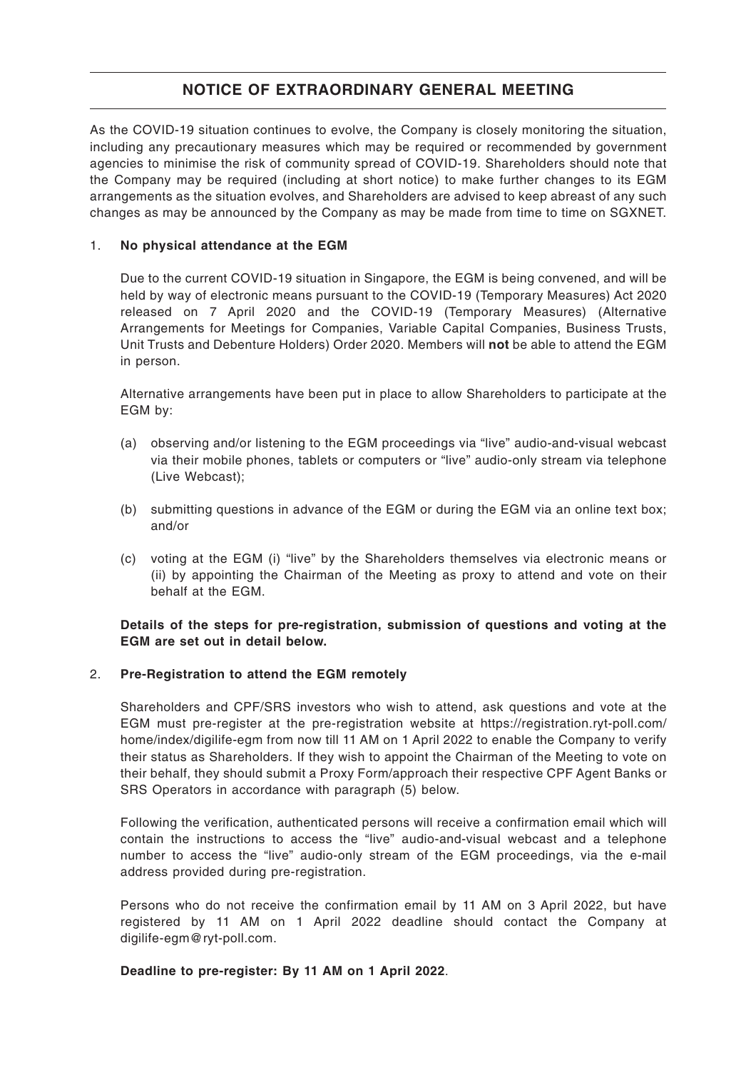As the COVID-19 situation continues to evolve, the Company is closely monitoring the situation, including any precautionary measures which may be required or recommended by government agencies to minimise the risk of community spread of COVID-19. Shareholders should note that the Company may be required (including at short notice) to make further changes to its EGM arrangements as the situation evolves, and Shareholders are advised to keep abreast of any such changes as may be announced by the Company as may be made from time to time on SGXNET.

### 1. **No physical attendance at the EGM**

Due to the current COVID-19 situation in Singapore, the EGM is being convened, and will be held by way of electronic means pursuant to the COVID-19 (Temporary Measures) Act 2020 released on 7 April 2020 and the COVID-19 (Temporary Measures) (Alternative Arrangements for Meetings for Companies, Variable Capital Companies, Business Trusts, Unit Trusts and Debenture Holders) Order 2020. Members will **not** be able to attend the EGM in person.

Alternative arrangements have been put in place to allow Shareholders to participate at the EGM by:

- (a) observing and/or listening to the EGM proceedings via "live" audio-and-visual webcast via their mobile phones, tablets or computers or "live" audio-only stream via telephone (Live Webcast);
- (b) submitting questions in advance of the EGM or during the EGM via an online text box; and/or
- (c) voting at the EGM (i) "live" by the Shareholders themselves via electronic means or (ii) by appointing the Chairman of the Meeting as proxy to attend and vote on their behalf at the EGM.

#### **Details of the steps for pre-registration, submission of questions and voting at the EGM are set out in detail below.**

#### 2. **Pre-Registration to attend the EGM remotely**

Shareholders and CPF/SRS investors who wish to attend, ask questions and vote at the EGM must pre-register at the pre-registration website at https://registration.ryt-poll.com/ home/index/digilife-egm from now till 11 AM on 1 April 2022 to enable the Company to verify their status as Shareholders. If they wish to appoint the Chairman of the Meeting to vote on their behalf, they should submit a Proxy Form/approach their respective CPF Agent Banks or SRS Operators in accordance with paragraph (5) below.

Following the verification, authenticated persons will receive a confirmation email which will contain the instructions to access the "live" audio-and-visual webcast and a telephone number to access the "live" audio-only stream of the EGM proceedings, via the e-mail address provided during pre-registration.

Persons who do not receive the confirmation email by 11 AM on 3 April 2022, but have registered by 11 AM on 1 April 2022 deadline should contact the Company at digilife-egm@ryt-poll.com.

#### **Deadline to pre-register: By 11 AM on 1 April 2022**.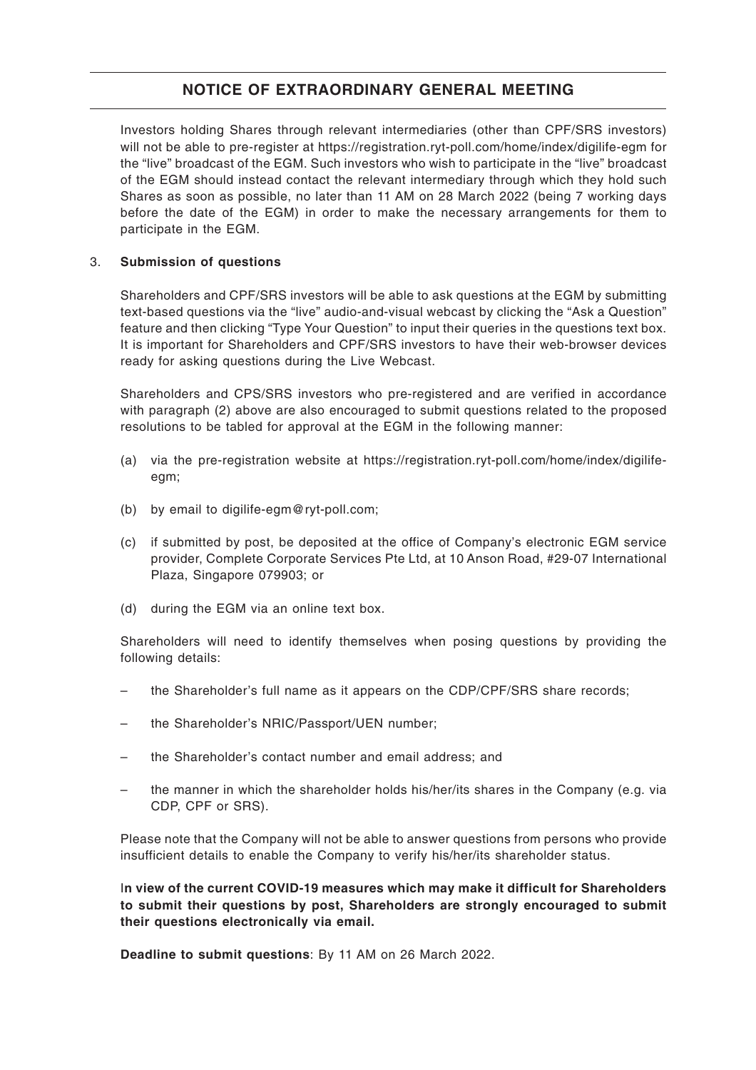Investors holding Shares through relevant intermediaries (other than CPF/SRS investors) will not be able to pre-register at https://registration.ryt-poll.com/home/index/digilife-egm for the "live" broadcast of the EGM. Such investors who wish to participate in the "live" broadcast of the EGM should instead contact the relevant intermediary through which they hold such Shares as soon as possible, no later than 11 AM on 28 March 2022 (being 7 working days before the date of the EGM) in order to make the necessary arrangements for them to participate in the EGM.

#### 3. **Submission of questions**

Shareholders and CPF/SRS investors will be able to ask questions at the EGM by submitting text-based questions via the "live" audio-and-visual webcast by clicking the "Ask a Question" feature and then clicking "Type Your Question" to input their queries in the questions text box. It is important for Shareholders and CPF/SRS investors to have their web-browser devices ready for asking questions during the Live Webcast.

Shareholders and CPS/SRS investors who pre-registered and are verified in accordance with paragraph (2) above are also encouraged to submit questions related to the proposed resolutions to be tabled for approval at the EGM in the following manner:

- (a) via the pre-registration website at [https://registration.ryt-poll.com/home/index/digilife](https://registration.ryt-poll.com/home/index/digilife-egm)egm;
- (b) by email to digilife-egm@ryt-poll.com;
- (c) if submitted by post, be deposited at the office of Company's electronic EGM service provider, Complete Corporate Services Pte Ltd, at 10 Anson Road, #29-07 International Plaza, Singapore 079903; or
- (d) during the EGM via an online text box.

Shareholders will need to identify themselves when posing questions by providing the following details:

- the Shareholder's full name as it appears on the CDP/CPF/SRS share records;
- the Shareholder's NRIC/Passport/UEN number;
- the Shareholder's contact number and email address; and
- the manner in which the shareholder holds his/her/its shares in the Company (e.g. via CDP, CPF or SRS).

Please note that the Company will not be able to answer questions from persons who provide insufficient details to enable the Company to verify his/her/its shareholder status.

I**n view of the current COVID-19 measures which may make it difficult for Shareholders to submit their questions by post, Shareholders are strongly encouraged to submit their questions electronically via email.**

**Deadline to submit questions**: By 11 AM on 26 March 2022.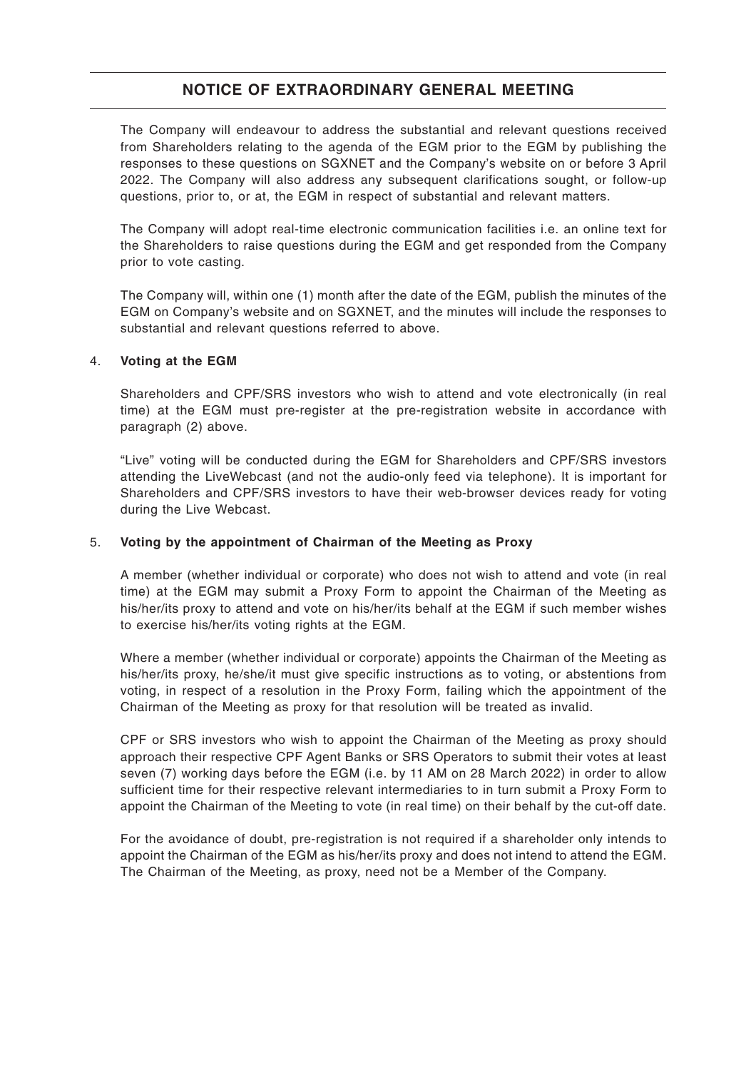The Company will endeavour to address the substantial and relevant questions received from Shareholders relating to the agenda of the EGM prior to the EGM by publishing the responses to these questions on SGXNET and the Company's website on or before 3 April 2022. The Company will also address any subsequent clarifications sought, or follow-up questions, prior to, or at, the EGM in respect of substantial and relevant matters.

The Company will adopt real-time electronic communication facilities i.e. an online text for the Shareholders to raise questions during the EGM and get responded from the Company prior to vote casting.

The Company will, within one (1) month after the date of the EGM, publish the minutes of the EGM on Company's website and on SGXNET, and the minutes will include the responses to substantial and relevant questions referred to above.

#### 4. **Voting at the EGM**

Shareholders and CPF/SRS investors who wish to attend and vote electronically (in real time) at the EGM must pre-register at the pre-registration website in accordance with paragraph (2) above.

"Live" voting will be conducted during the EGM for Shareholders and CPF/SRS investors attending the LiveWebcast (and not the audio-only feed via telephone). It is important for Shareholders and CPF/SRS investors to have their web-browser devices ready for voting during the Live Webcast.

#### 5. **Voting by the appointment of Chairman of the Meeting as Proxy**

A member (whether individual or corporate) who does not wish to attend and vote (in real time) at the EGM may submit a Proxy Form to appoint the Chairman of the Meeting as his/her/its proxy to attend and vote on his/her/its behalf at the EGM if such member wishes to exercise his/her/its voting rights at the EGM.

Where a member (whether individual or corporate) appoints the Chairman of the Meeting as his/her/its proxy, he/she/it must give specific instructions as to voting, or abstentions from voting, in respect of a resolution in the Proxy Form, failing which the appointment of the Chairman of the Meeting as proxy for that resolution will be treated as invalid.

CPF or SRS investors who wish to appoint the Chairman of the Meeting as proxy should approach their respective CPF Agent Banks or SRS Operators to submit their votes at least seven (7) working days before the EGM (i.e. by 11 AM on 28 March 2022) in order to allow sufficient time for their respective relevant intermediaries to in turn submit a Proxy Form to appoint the Chairman of the Meeting to vote (in real time) on their behalf by the cut-off date.

For the avoidance of doubt, pre-registration is not required if a shareholder only intends to appoint the Chairman of the EGM as his/her/its proxy and does not intend to attend the EGM. The Chairman of the Meeting, as proxy, need not be a Member of the Company.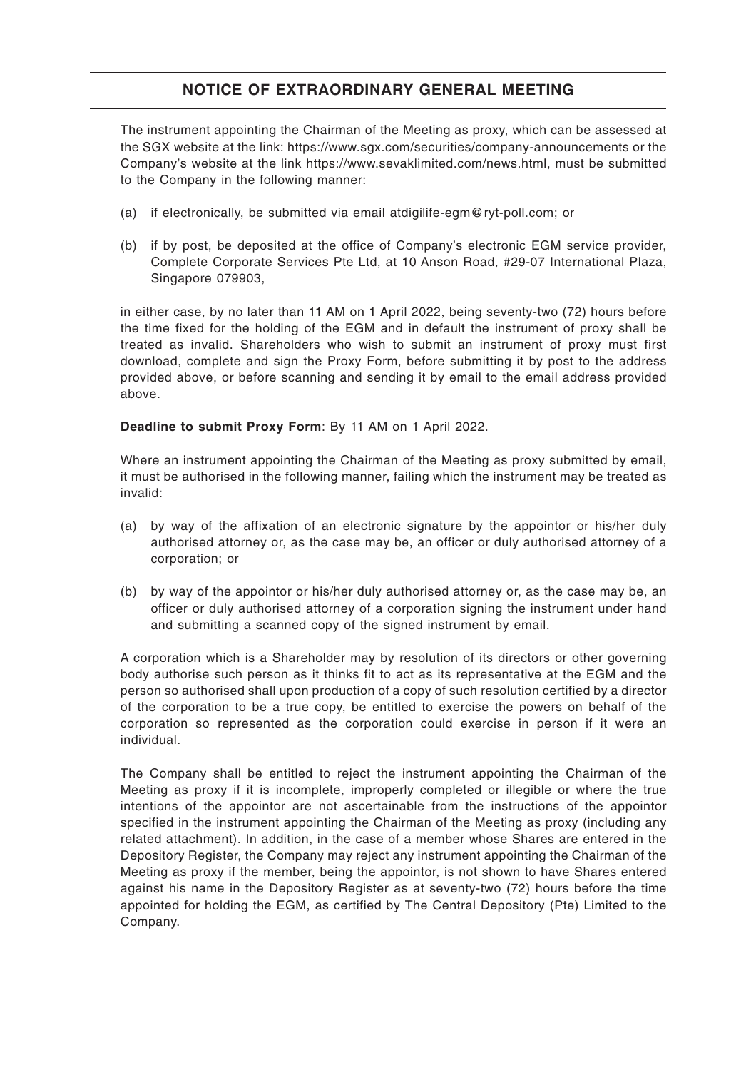The instrument appointing the Chairman of the Meeting as proxy, which can be assessed at the SGX website at the link: https://www.sgx.com/securities/company-announcements or the Company's website at the link https://www.sevaklimited.com/news.html, must be submitted to the Company in the following manner:

- (a) if electronically, be submitted via email atdigilife-egm@ryt-poll.com; or
- (b) if by post, be deposited at the office of Company's electronic EGM service provider, Complete Corporate Services Pte Ltd, at 10 Anson Road, #29-07 International Plaza, Singapore 079903,

in either case, by no later than 11 AM on 1 April 2022, being seventy-two (72) hours before the time fixed for the holding of the EGM and in default the instrument of proxy shall be treated as invalid. Shareholders who wish to submit an instrument of proxy must first download, complete and sign the Proxy Form, before submitting it by post to the address provided above, or before scanning and sending it by email to the email address provided above.

#### **Deadline to submit Proxy Form**: By 11 AM on 1 April 2022.

Where an instrument appointing the Chairman of the Meeting as proxy submitted by email, it must be authorised in the following manner, failing which the instrument may be treated as invalid:

- (a) by way of the affixation of an electronic signature by the appointor or his/her duly authorised attorney or, as the case may be, an officer or duly authorised attorney of a corporation; or
- (b) by way of the appointor or his/her duly authorised attorney or, as the case may be, an officer or duly authorised attorney of a corporation signing the instrument under hand and submitting a scanned copy of the signed instrument by email.

A corporation which is a Shareholder may by resolution of its directors or other governing body authorise such person as it thinks fit to act as its representative at the EGM and the person so authorised shall upon production of a copy of such resolution certified by a director of the corporation to be a true copy, be entitled to exercise the powers on behalf of the corporation so represented as the corporation could exercise in person if it were an individual.

The Company shall be entitled to reject the instrument appointing the Chairman of the Meeting as proxy if it is incomplete, improperly completed or illegible or where the true intentions of the appointor are not ascertainable from the instructions of the appointor specified in the instrument appointing the Chairman of the Meeting as proxy (including any related attachment). In addition, in the case of a member whose Shares are entered in the Depository Register, the Company may reject any instrument appointing the Chairman of the Meeting as proxy if the member, being the appointor, is not shown to have Shares entered against his name in the Depository Register as at seventy-two (72) hours before the time appointed for holding the EGM, as certified by The Central Depository (Pte) Limited to the Company.